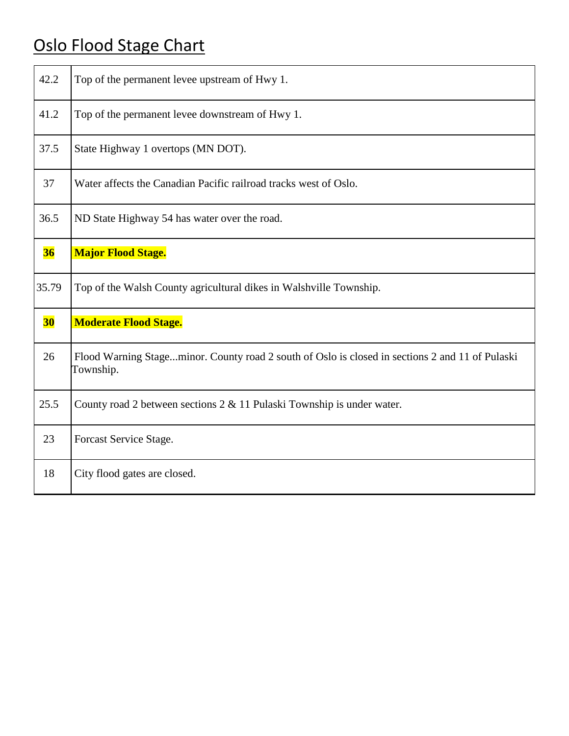## Oslo Flood Stage Chart

| 42.2      | Top of the permanent levee upstream of Hwy 1.                                                                |
|-----------|--------------------------------------------------------------------------------------------------------------|
| 41.2      | Top of the permanent levee downstream of Hwy 1.                                                              |
| 37.5      | State Highway 1 overtops (MN DOT).                                                                           |
| 37        | Water affects the Canadian Pacific railroad tracks west of Oslo.                                             |
| 36.5      | ND State Highway 54 has water over the road.                                                                 |
| 36        | <b>Major Flood Stage.</b>                                                                                    |
| 35.79     | Top of the Walsh County agricultural dikes in Walshville Township.                                           |
| <b>30</b> | <b>Moderate Flood Stage.</b>                                                                                 |
| 26        | Flood Warning Stageminor. County road 2 south of Oslo is closed in sections 2 and 11 of Pulaski<br>Township. |
| 25.5      | County road 2 between sections $2 \& 11$ Pulaski Township is under water.                                    |
| 23        | Forcast Service Stage.                                                                                       |
| 18        | City flood gates are closed.                                                                                 |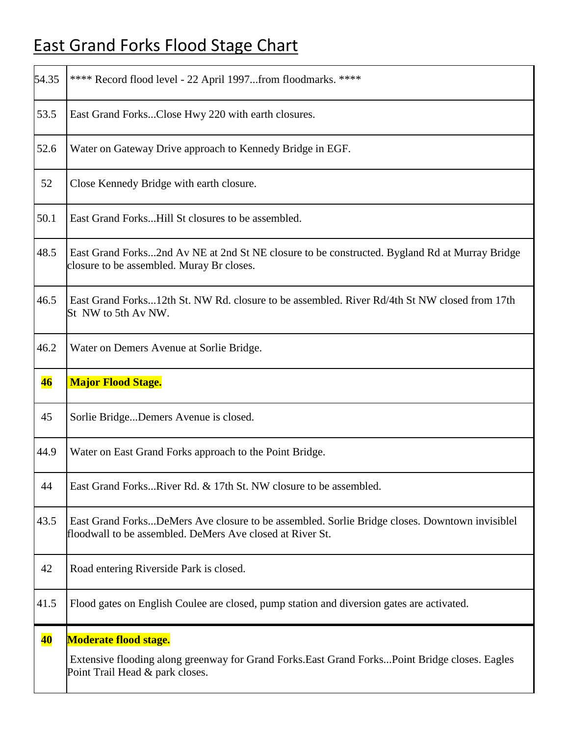## East Grand Forks Flood Stage Chart

| 54.35     | **** Record flood level - 22 April 1997from floodmarks. ****                                                                                                       |
|-----------|--------------------------------------------------------------------------------------------------------------------------------------------------------------------|
| 53.5      | East Grand ForksClose Hwy 220 with earth closures.                                                                                                                 |
| 52.6      | Water on Gateway Drive approach to Kennedy Bridge in EGF.                                                                                                          |
| 52        | Close Kennedy Bridge with earth closure.                                                                                                                           |
| 50.1      | East Grand ForksHill St closures to be assembled.                                                                                                                  |
| 48.5      | East Grand Forks2nd Av NE at 2nd St NE closure to be constructed. Bygland Rd at Murray Bridge<br>closure to be assembled. Muray Br closes.                         |
| 46.5      | East Grand Forks12th St. NW Rd. closure to be assembled. River Rd/4th St NW closed from 17th<br>St NW to 5th Av NW.                                                |
| 46.2      | Water on Demers Avenue at Sorlie Bridge.                                                                                                                           |
| 46        | <b>Major Flood Stage.</b>                                                                                                                                          |
| 45        | Sorlie BridgeDemers Avenue is closed.                                                                                                                              |
| 44.9      | Water on East Grand Forks approach to the Point Bridge.                                                                                                            |
| 44        | East Grand ForksRiver Rd. & 17th St. NW closure to be assembled.                                                                                                   |
| 43.5      | East Grand ForksDeMers Ave closure to be assembled. Sorlie Bridge closes. Downtown invisiblel<br>floodwall to be assembled. DeMers Ave closed at River St.         |
| 42        | Road entering Riverside Park is closed.                                                                                                                            |
| 41.5      | Flood gates on English Coulee are closed, pump station and diversion gates are activated.                                                                          |
| <b>40</b> | <b>Moderate flood stage.</b><br>Extensive flooding along greenway for Grand Forks. East Grand Forks Point Bridge closes. Eagles<br>Point Trail Head & park closes. |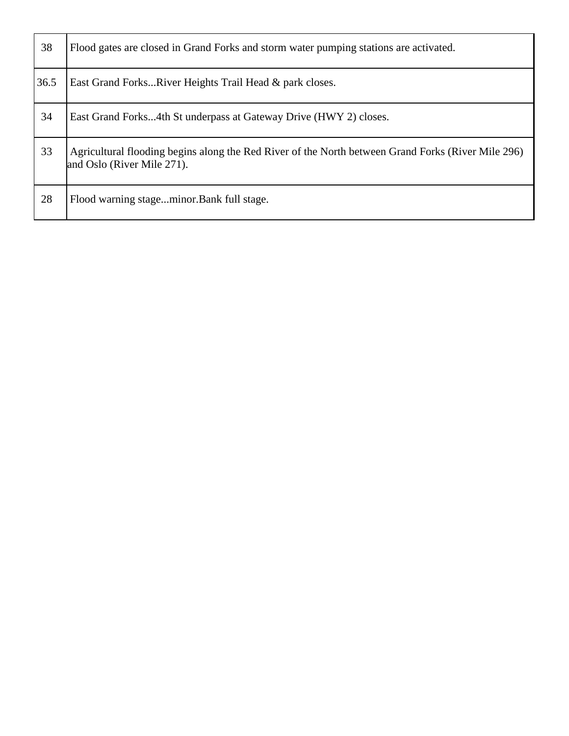| 38   | Flood gates are closed in Grand Forks and storm water pumping stations are activated.                                            |
|------|----------------------------------------------------------------------------------------------------------------------------------|
| 36.5 | East Grand ForksRiver Heights Trail Head & park closes.                                                                          |
| 34   | East Grand Forks4th St underpass at Gateway Drive (HWY 2) closes.                                                                |
| 33   | Agricultural flooding begins along the Red River of the North between Grand Forks (River Mile 296)<br>and Oslo (River Mile 271). |
| 28   | Flood warning stageminor.Bank full stage.                                                                                        |